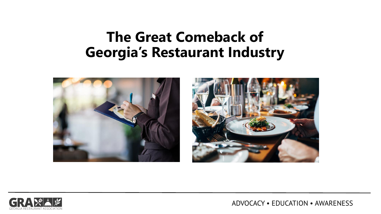## **The Great Comeback of Georgia's Restaurant Industry**







ADVOCACY • EDUCATION • AWARENESS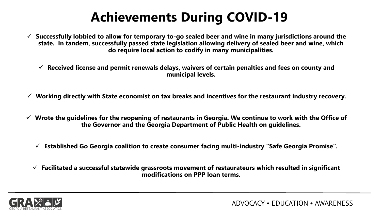# **Achievements During COVID-19**

- ✓ **Successfully lobbied to allow for temporary to-go sealed beer and wine in many jurisdictions around the state. In tandem, successfully passed state legislation allowing delivery of sealed beer and wine, which do require local action to codify in many municipalities.**
	- ✓ **Received license and permit renewals delays, waivers of certain penalties and fees on county and municipal levels.**
- ✓ **Working directly with State economist on tax breaks and incentives for the restaurant industry recovery.**
- ✓ **Wrote the guidelines for the reopening of restaurants in Georgia. We continue to work with the Office of the Governor and the Georgia Department of Public Health on guidelines.**
	- ✓ **Established Go Georgia coalition to create consumer facing multi-industry "Safe Georgia Promise".**
	- ✓ **Facilitated a successful statewide grassroots movement of restaurateurs which resulted in significant modifications on PPP loan terms.**

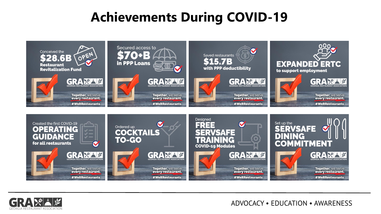### **Achievements During COVID-19**





ADVOCACY • EDUCATION • AWARENESS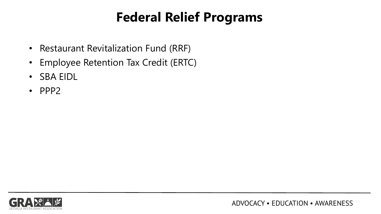# **Federal Relief Programs**

- Restaurant Revitalization Fund (RRF)
- Employee Retention Tax Credit (ERTC)
- SBA EIDL
- PPP2